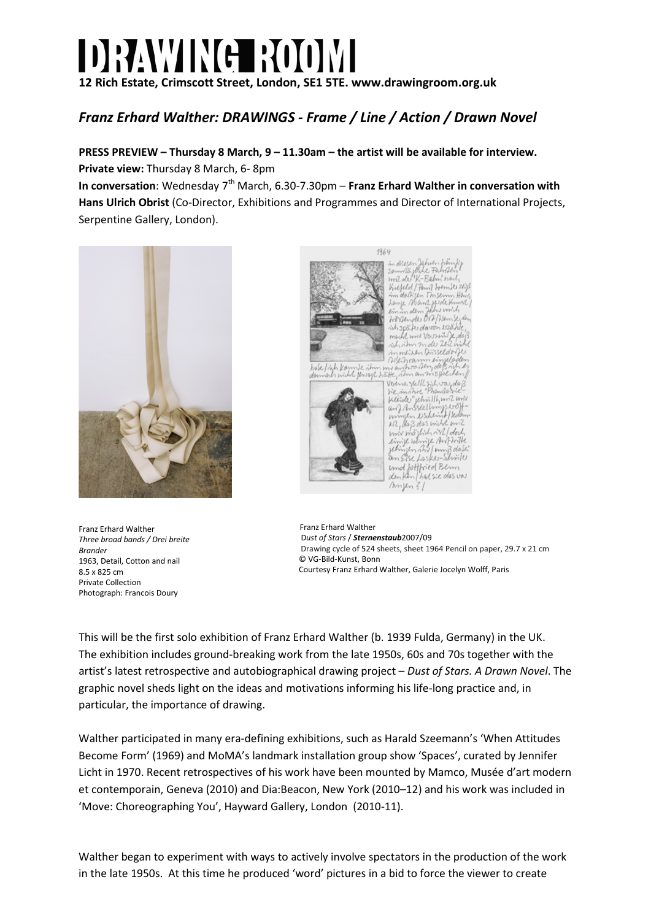## DRAWING ROOM

**12 Rich Estate, Crimscott Street, London, SE1 5TE. www.drawingroom.org.uk**

## *Franz Erhard Walther: DRAWINGS - Frame / Line / Action / Drawn Novel*

**PRESS PREVIEW – Thursday 8 March, 9 – 11.30am – the artist will be available for interview. Private view:** Thursday 8 March, 6- 8pm

**In conversation**: Wednesday 7th March, 6.30-7.30pm – **Franz Erhard Walther in conversation with Hans Ulrich Obrist** (Co-Director, Exhibitions and Programmes and Director of International Projects, Serpentine Gallery, London).



Franz Erhard Walther *Three broad bands / Drei breite Brander*  1963, Detail, Cotton and nail 8.5 x 825 cm Private Collection Photograph: Francois Doury



 Franz Erhard Walther D*ust of Stars* / *Sternenstaub*2007/09 Drawing cycle of 524 sheets, sheet 1964 Pencil on paper, 29.7 x 21 cm © VG-Bild-Kunst, Bonn Courtesy Franz Erhard Walther, Galerie Jocelyn Wolff, Paris

This will be the first solo exhibition of Franz Erhard Walther (b. 1939 Fulda, Germany) in the UK. The exhibition includes ground-breaking work from the late 1950s, 60s and 70s together with the artist's latest retrospective and autobiographical drawing project – *Dust of Stars. A Drawn Novel*. The graphic novel sheds light on the ideas and motivations informing his life-long practice and, in particular, the importance of drawing.

Walther participated in many era-defining exhibitions, such as Harald Szeemann's 'When Attitudes Become Form' (1969) and MoMA's landmark installation group show 'Spaces', curated by Jennifer Licht in 1970. Recent retrospectives of his work have been mounted by Mamco, Musée d'art modern et contemporain, Geneva (2010) and Dia:Beacon, New York (2010–12) and his work was included in 'Move: Choreographing You', Hayward Gallery, London (2010-11).

Walther began to experiment with ways to actively involve spectators in the production of the work in the late 1950s. At this time he produced 'word' pictures in a bid to force the viewer to create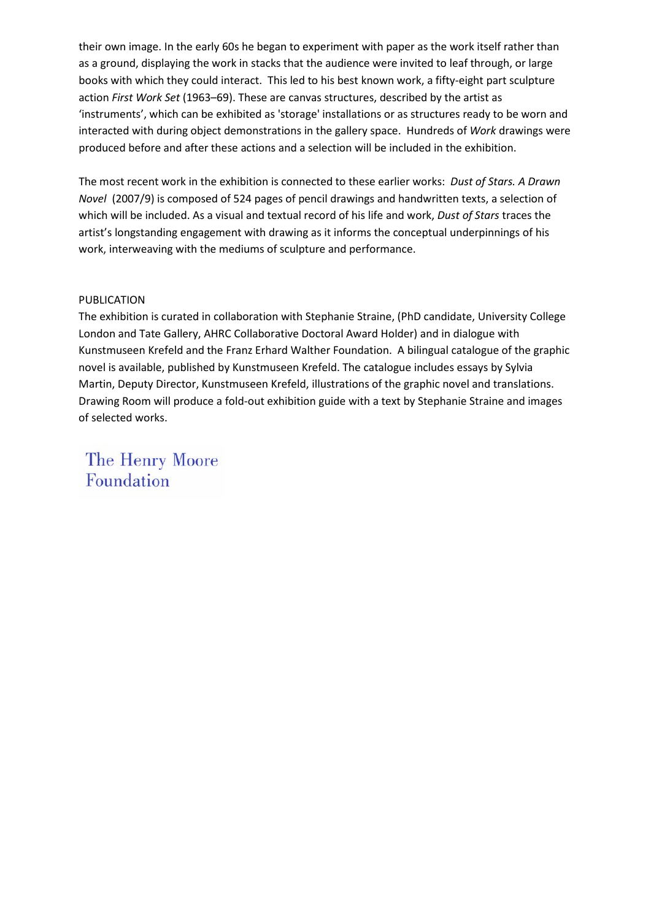their own image. In the early 60s he began to experiment with paper as the work itself rather than as a ground, displaying the work in stacks that the audience were invited to leaf through, or large books with which they could interact. This led to his best known work, a fifty-eight part sculpture action *First Work Set* (1963–69). These are canvas structures, described by the artist as 'instruments', which can be exhibited as 'storage' installations or as structures ready to be worn and interacted with during object demonstrations in the gallery space. Hundreds of *Work* drawings were produced before and after these actions and a selection will be included in the exhibition.

The most recent work in the exhibition is connected to these earlier works: *Dust of Stars. A Drawn Novel* (2007/9) is composed of 524 pages of pencil drawings and handwritten texts, a selection of which will be included. As a visual and textual record of his life and work, *Dust of Stars* traces the artist's longstanding engagement with drawing as it informs the conceptual underpinnings of his work, interweaving with the mediums of sculpture and performance.

## PUBLICATION

The exhibition is curated in collaboration with Stephanie Straine, (PhD candidate, University College London and Tate Gallery, AHRC Collaborative Doctoral Award Holder) and in dialogue with Kunstmuseen Krefeld and the Franz Erhard Walther Foundation. A bilingual catalogue of the graphic novel is available, published by Kunstmuseen Krefeld. The catalogue includes essays by Sylvia Martin, Deputy Director, Kunstmuseen Krefeld, illustrations of the graphic novel and translations. Drawing Room will produce a fold-out exhibition guide with a text by Stephanie Straine and images of selected works.

The Henry Moore Foundation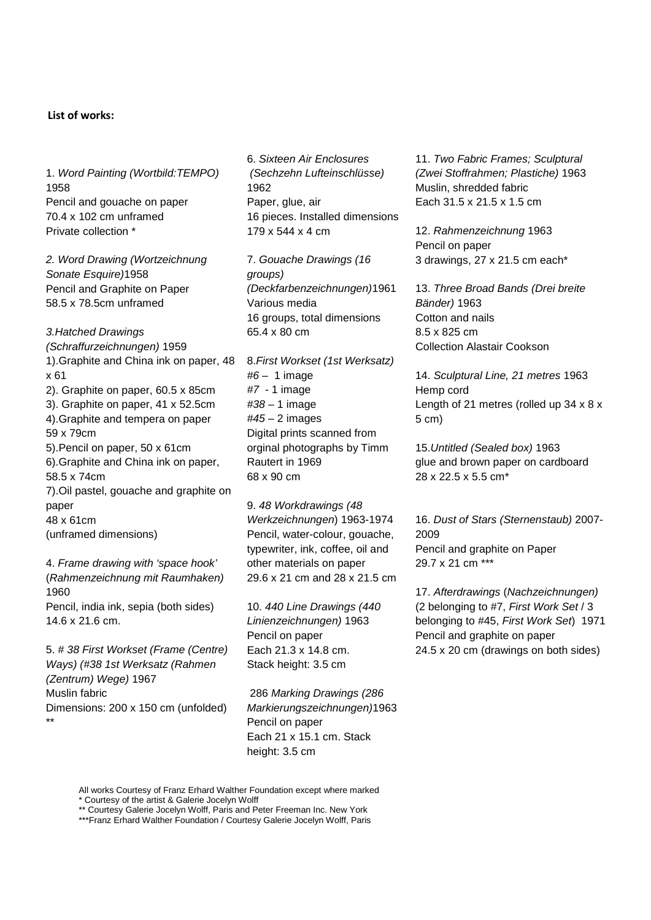## **List of works:**

1. *Word Painting (Wortbild:TEMPO)*  1958 Pencil and gouache on paper 70.4 x 102 cm unframed Private collection \*

*2. Word Drawing (Wortzeichnung Sonate Esquire)*1958 Pencil and Graphite on Paper 58.5 x 78.5cm unframed

*3.Hatched Drawings (Schraffurzeichnungen)* 1959 1).Graphite and China ink on paper, 48 x 61 2). Graphite on paper, 60.5 x 85cm 3). Graphite on paper, 41 x 52.5cm 4).Graphite and tempera on paper 59 x 79cm 5).Pencil on paper, 50 x 61cm 6).Graphite and China ink on paper, 58.5 x 74cm 7).Oil pastel, gouache and graphite on paper 48 x 61cm (unframed dimensions)

4. *Frame drawing with 'space hook'*  (*Rahmenzeichnung mit Raumhaken)*  1960 Pencil, india ink, sepia (both sides) 14.6 x 21.6 cm.

5. *# 38 First Workset (Frame (Centre) Ways) (#38 1st Werksatz (Rahmen (Zentrum) Wege)* 1967 Muslin fabric Dimensions: 200 x 150 cm (unfolded) \*\*

6. *Sixteen Air Enclosures (Sechzehn Lufteinschlüsse)*  1962 Paper, glue, air 16 pieces. Installed dimensions 179 x 544 x 4 cm

7. *Gouache Drawings (16 groups) (Deckfarbenzeichnungen)*1961 Various media 16 groups, total dimensions 65.4 x 80 cm

8.*First Workset (1st Werksatz) #6* – 1 image *#7* - 1 image *#38 –* 1 image *#45* – 2 images Digital prints scanned from orginal photographs by Timm Rautert in 1969 68 x 90 cm

9. *48 Workdrawings (48 Werkzeichnungen*) 1963-1974 Pencil, water-colour, gouache, typewriter, ink, coffee, oil and other materials on paper 29.6 x 21 cm and 28 x 21.5 cm

10. *440 Line Drawings (440 Linienzeichnungen)* 1963 Pencil on paper Each 21.3 x 14.8 cm. Stack height: 3.5 cm

286 *Marking Drawings (286 Markierungszeichnungen)*1963 Pencil on paper Each 21 x 15.1 cm. Stack height: 3.5 cm

11. *Two Fabric Frames; Sculptural (Zwei Stoffrahmen; Plastiche)* 1963 Muslin, shredded fabric Each 31.5 x 21.5 x 1.5 cm

12. *Rahmenzeichnung* 1963 Pencil on paper 3 drawings, 27 x 21.5 cm each\*

13. *Three Broad Bands (Drei breite Bänder)* 1963 Cotton and nails 8.5 x 825 cm Collection Alastair Cookson

14. *Sculptural Line, 21 metres* 1963 Hemp cord Length of 21 metres (rolled up 34 x 8 x 5 cm)

15.*Untitled (Sealed box)* 1963 glue and brown paper on cardboard 28 x 22.5 x 5.5 cm\*

16. *Dust of Stars (Sternenstaub)* 2007- 2009 Pencil and graphite on Paper 29.7 x 21 cm \*\*\*

17. *Afterdrawings* (*Nachzeichnungen)* (2 belonging to #7, *First Work Set* / 3 belonging to #45, *First Work Set*) 1971 Pencil and graphite on paper 24.5 x 20 cm (drawings on both sides)

All works Courtesy of Franz Erhard Walther Foundation except where marked \* Courtesy of the artist & Galerie Jocelyn Wolff

\*\* Courtesy Galerie Jocelyn Wolff, Paris and Peter Freeman Inc. New York

\*\*\*Franz Erhard Walther Foundation / Courtesy Galerie Jocelyn Wolff, Paris